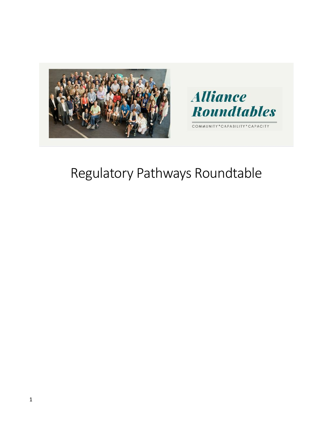



COMMUNITY\*CAPABILITY\*CAPACITY

# Regulatory Pathways Roundtable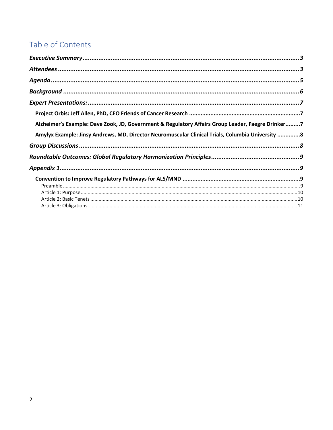# Table of Contents

| Alzheimer's Example: Dave Zook, JD, Government & Regulatory Affairs Group Leader, Faegre Drinker7 |  |
|---------------------------------------------------------------------------------------------------|--|
| Amylyx Example: Jinsy Andrews, MD, Director Neuromuscular Clinical Trials, Columbia University 8  |  |
|                                                                                                   |  |
|                                                                                                   |  |
|                                                                                                   |  |
|                                                                                                   |  |
|                                                                                                   |  |
|                                                                                                   |  |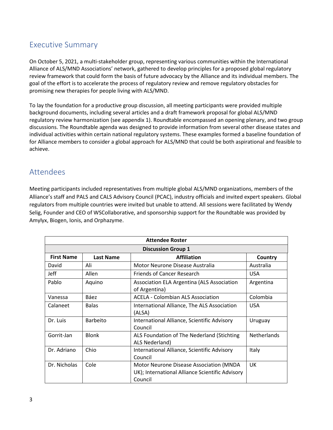# <span id="page-2-0"></span>Executive Summary

On October 5, 2021, a multi-stakeholder group, representing various communities within the International Alliance of ALS/MND Associations' network, gathered to develop principles for a proposed global regulatory review framework that could form the basis of future advocacy by the Alliance and its individual members. The goal of the effort is to accelerate the process of regulatory review and remove regulatory obstacles for promising new therapies for people living with ALS/MND.

To lay the foundation for a productive group discussion, all meeting participants were provided multiple background documents, including several articles and a draft framework proposal for global ALS/MND regulatory review harmonization (see appendix 1). Roundtable encompassed an opening plenary, and two group discussions. The Roundtable agenda was designed to provide information from several other disease states and individual activities within certain national regulatory systems. These examples formed a baseline foundation of for Alliance members to consider a global approach for ALS/MND that could be both aspirational and feasible to achieve.

#### <span id="page-2-1"></span>Attendees

Meeting participants included representatives from multiple global ALS/MND organizations, members of the Alliance's staff and PALS and CALS Advisory Council (PCAC), industry officials and invited expert speakers. Global regulators from multiple countries were invited but unable to attend. All sessions were facilitated by Wendy Selig, Founder and CEO of WSCollaborative, and sponsorship support for the Roundtable was provided by Amylyx, Biogen, Ionis, and Orphazyme.

| <b>Attendee Roster</b>    |                  |                                                                                                       |                    |
|---------------------------|------------------|-------------------------------------------------------------------------------------------------------|--------------------|
| <b>Discussion Group 1</b> |                  |                                                                                                       |                    |
| <b>First Name</b>         | <b>Last Name</b> | <b>Affiliation</b>                                                                                    | Country            |
| David                     | Ali              | Motor Neurone Disease Australia                                                                       | Australia          |
| Jeff                      | Allen            | <b>Friends of Cancer Research</b>                                                                     | <b>USA</b>         |
| Pablo                     | Aquino           | Association ELA Argentina (ALS Association<br>of Argentina)                                           | Argentina          |
| Vanessa                   | Báez             | <b>ACELA - Colombian ALS Association</b>                                                              | Colombia           |
| Calaneet                  | <b>Balas</b>     | International Alliance, The ALS Association<br>(ALSA)                                                 | <b>USA</b>         |
| Dr. Luis                  | <b>Barbeito</b>  | International Alliance, Scientific Advisory<br>Council                                                | Uruguay            |
| Gorrit-Jan                | <b>Blonk</b>     | ALS Foundation of The Nederland (Stichting<br>ALS Nederland)                                          | <b>Netherlands</b> |
| Dr. Adriano               | Chio             | International Alliance, Scientific Advisory<br>Council                                                | Italy              |
| Dr. Nicholas              | Cole             | Motor Neurone Disease Association (MNDA<br>UK); International Alliance Scientific Advisory<br>Council | UK                 |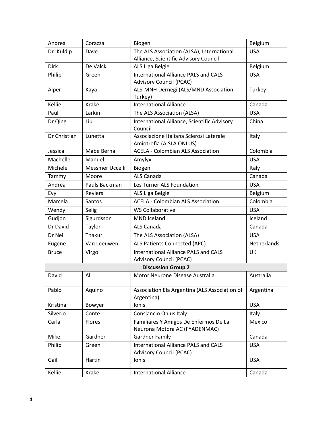| Andrea       | Corazza         | Biogen                                                                        | Belgium     |
|--------------|-----------------|-------------------------------------------------------------------------------|-------------|
| Dr. Kuldip   | Dave            | The ALS Association (ALSA); International                                     | <b>USA</b>  |
|              |                 | Alliance, Scientific Advisory Council                                         |             |
| <b>Dirk</b>  | De Valck        | ALS Liga Belgie                                                               | Belgium     |
| Philip       | Green           | <b>International Alliance PALS and CALS</b>                                   | <b>USA</b>  |
|              |                 | <b>Advisory Council (PCAC)</b>                                                |             |
| Alper        | Kaya            | ALS-MNH Dernegi (ALS/MND Association                                          | Turkey      |
|              |                 | Turkey)                                                                       |             |
| Kellie       | Krake           | <b>International Alliance</b>                                                 | Canada      |
| Paul         | Larkin          | The ALS Association (ALSA)                                                    | <b>USA</b>  |
| Dr Qing      | Liu             | International Alliance, Scientific Advisory                                   | China       |
|              | Lunetta         | Council<br>Associazione Italiana Sclerosi Laterale                            |             |
| Dr Christian |                 | Amiotrofia (AISLA ONLUS)                                                      | Italy       |
| Jessica      | Mabe Bernal     | <b>ACELA - Colombian ALS Association</b>                                      | Colombia    |
| Machelle     | Manuel          | Amylyx                                                                        | <b>USA</b>  |
| Michele      | Messmer Uccelli | Biogen                                                                        | Italy       |
| Tammy        | Moore           | ALS Canada                                                                    | Canada      |
| Andrea       | Pauls Backman   | Les Turner ALS Foundation                                                     | <b>USA</b>  |
| Evy          | <b>Reviers</b>  | ALS Liga Belgie                                                               | Belgium     |
| Marcela      | Santos          | <b>ACELA - Colombian ALS Association</b>                                      | Colombia    |
| Wendy        | Selig           | <b>WS Collaborative</b>                                                       | <b>USA</b>  |
| Gudjon       | Sigurdsson      | <b>MND</b> Iceland                                                            | Iceland     |
| Dr David     | Taylor          | ALS Canada                                                                    | Canada      |
| Dr Neil      | Thakur          | The ALS Association (ALSA)                                                    | <b>USA</b>  |
| Eugene       | Van Leeuwen     | ALS Patients Connected (APC)                                                  | Netherlands |
| <b>Bruce</b> | Virgo           | <b>International Alliance PALS and CALS</b>                                   | UK          |
|              |                 | <b>Advisory Council (PCAC)</b>                                                |             |
|              |                 | <b>Discussion Group 2</b>                                                     |             |
| David        | Ali             | Motor Neurone Disease Australia                                               | Australia   |
| Pablo        | Aquino          | Association Ela Argentina (ALS Association of                                 | Argentina   |
|              |                 | Argentina)                                                                    |             |
| Kristina     | Bowyer          | Ionis                                                                         | <b>USA</b>  |
| Silverio     | Conte           | Conslancio Onlus Italy                                                        | Italy       |
| Carla        | Flores          | Familiares Y Amigos De Enfermos De La                                         | Mexico      |
|              |                 | Neurona Motora AC (FYADENMAC)                                                 |             |
| Mike         | Gardner         | <b>Gardner Family</b>                                                         | Canada      |
| Philip       | Green           | <b>International Alliance PALS and CALS</b><br><b>Advisory Council (PCAC)</b> | <b>USA</b>  |
| Gail         | Hartin          | Ionis                                                                         | <b>USA</b>  |
| Kellie       | Krake           | <b>International Alliance</b>                                                 | Canada      |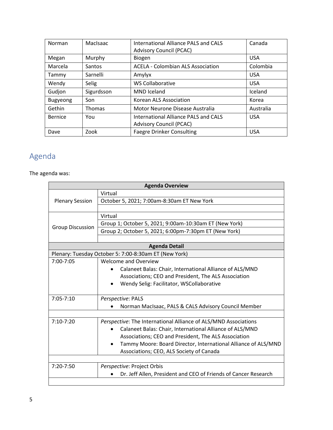| Norman          | MacIsaac   | International Alliance PALS and CALS<br><b>Advisory Council (PCAC)</b> | Canada     |
|-----------------|------------|------------------------------------------------------------------------|------------|
| Megan           | Murphy     | Biogen                                                                 | <b>USA</b> |
| Marcela         | Santos     | <b>ACELA - Colombian ALS Association</b>                               | Colombia   |
| Tammy           | Sarnelli   | Amylyx                                                                 | <b>USA</b> |
| Wendy           | Selig      | <b>WS Collaborative</b>                                                | <b>USA</b> |
| Gudjon          | Sigurdsson | <b>MND</b> Iceland                                                     | Iceland    |
| <b>Bugyeong</b> | Son        | Korean ALS Association                                                 | Korea      |
| Gethin          | Thomas     | Motor Neurone Disease Australia                                        | Australia  |
| Bernice         | You        | International Alliance PALS and CALS                                   | <b>USA</b> |
|                 |            | <b>Advisory Council (PCAC)</b>                                         |            |
| Dave            | Zook       | <b>Faegre Drinker Consulting</b>                                       | <b>USA</b> |

# <span id="page-4-0"></span>Agenda

#### The agenda was:

| <b>Agenda Overview</b>  |                                                                             |  |
|-------------------------|-----------------------------------------------------------------------------|--|
|                         | Virtual                                                                     |  |
| <b>Plenary Session</b>  | October 5, 2021; 7:00am-8:30am ET New York                                  |  |
|                         |                                                                             |  |
|                         | Virtual                                                                     |  |
|                         | Group 1; October 5, 2021; 9:00am-10:30am ET (New York)                      |  |
| <b>Group Discussion</b> | Group 2; October 5, 2021; 6:00pm-7:30pm ET (New York)                       |  |
|                         |                                                                             |  |
|                         | <b>Agenda Detail</b>                                                        |  |
|                         | Plenary: Tuesday October 5: 7:00-8:30am ET (New York)                       |  |
| $7:00 - 7:05$           | Welcome and Overview                                                        |  |
|                         | Calaneet Balas: Chair, International Alliance of ALS/MND                    |  |
|                         | Associations; CEO and President, The ALS Association                        |  |
|                         | Wendy Selig: Facilitator, WSCollaborative<br>$\bullet$                      |  |
|                         |                                                                             |  |
| $7:05 - 7:10$           | Perspective: PALS                                                           |  |
|                         | Norman MacIsaac, PALS & CALS Advisory Council Member                        |  |
|                         |                                                                             |  |
| $7:10 - 7:20$           | Perspective: The International Alliance of ALS/MND Associations             |  |
|                         | Calaneet Balas: Chair, International Alliance of ALS/MND                    |  |
|                         | Associations; CEO and President, The ALS Association                        |  |
|                         | Tammy Moore: Board Director, International Alliance of ALS/MND<br>$\bullet$ |  |
|                         | Associations; CEO, ALS Society of Canada                                    |  |
|                         |                                                                             |  |
| 7:20-7:50               | <i>Perspective: Project Orbis</i>                                           |  |
|                         | Dr. Jeff Allen, President and CEO of Friends of Cancer Research             |  |
|                         |                                                                             |  |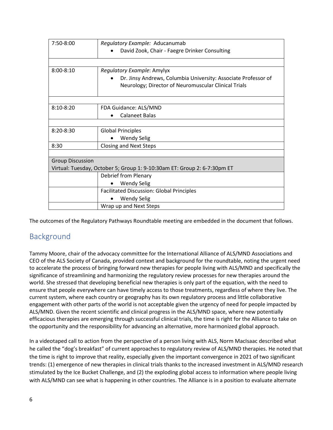| $7:50-8:00$             | Regulatory Example: Aducanumab                                                                                         |  |
|-------------------------|------------------------------------------------------------------------------------------------------------------------|--|
|                         | David Zook, Chair - Faegre Drinker Consulting                                                                          |  |
|                         |                                                                                                                        |  |
| $8:00 - 8:10$           | Regulatory Example: Amylyx                                                                                             |  |
|                         | Dr. Jinsy Andrews, Columbia University: Associate Professor of<br>Neurology; Director of Neuromuscular Clinical Trials |  |
|                         |                                                                                                                        |  |
| $8:10 - 8:20$           | FDA Guidance: ALS/MND                                                                                                  |  |
|                         | <b>Calaneet Balas</b>                                                                                                  |  |
|                         |                                                                                                                        |  |
| $8:20 - 8:30$           | <b>Global Principles</b>                                                                                               |  |
|                         | <b>Wendy Selig</b>                                                                                                     |  |
| 8:30                    | <b>Closing and Next Steps</b>                                                                                          |  |
|                         |                                                                                                                        |  |
| <b>Group Discussion</b> |                                                                                                                        |  |
|                         | Virtual: Tuesday, October 5; Group 1: 9-10:30am ET: Group 2: 6-7:30pm ET                                               |  |
|                         | Debrief from Plenary                                                                                                   |  |
|                         | <b>Wendy Selig</b>                                                                                                     |  |
|                         | <b>Facilitated Discussion: Global Principles</b>                                                                       |  |
|                         | <b>Wendy Selig</b>                                                                                                     |  |
|                         | Wrap up and Next Steps                                                                                                 |  |

<span id="page-5-0"></span>The outcomes of the Regulatory Pathways Roundtable meeting are embedded in the document that follows.

# Background

Tammy Moore, chair of the advocacy committee for the International Alliance of ALS/MND Associations and CEO of the ALS Society of Canada, provided context and background for the roundtable, noting the urgent need to accelerate the process of bringing forward new therapies for people living with ALS/MND and specifically the significance of streamlining and harmonizing the regulatory review processes for new therapies around the world. She stressed that developing beneficial new therapies is only part of the equation, with the need to ensure that people everywhere can have timely access to those treatments, regardless of where they live. The current system, where each country or geography has its own regulatory process and little collaborative engagement with other parts of the world is not acceptable given the urgency of need for people impacted by ALS/MND. Given the recent scientific and clinical progress in the ALS/MND space, where new potentially efficacious therapies are emerging through successful clinical trials, the time is right for the Alliance to take on the opportunity and the responsibility for advancing an alternative, more harmonized global approach.

In a videotaped call to action from the perspective of a person living with ALS, Norm MacIsaac described what he called the "dog's breakfast" of current approaches to regulatory review of ALS/MND therapies. He noted that the time is right to improve that reality, especially given the important convergence in 2021 of two significant trends: (1) emergence of new therapies in clinical trials thanks to the increased investment in ALS/MND research stimulated by the Ice Bucket Challenge, and (2) the exploding global access to information where people living with ALS/MND can see what is happening in other countries. The Alliance is in a position to evaluate alternate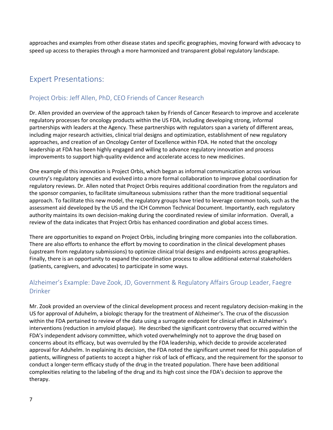approaches and examples from other disease states and specific geographies, moving forward with advocacy to speed up access to therapies through a more harmonized and transparent global regulatory landscape.

### <span id="page-6-0"></span>Expert Presentations:

#### <span id="page-6-1"></span>Project Orbis: Jeff Allen, PhD, CEO Friends of Cancer Research

Dr. Allen provided an overview of the approach taken by Friends of Cancer Research to improve and accelerate regulatory processes for oncology products within the US FDA, including developing strong, informal partnerships with leaders at the Agency. These partnerships with regulators span a variety of different areas, including major research activities, clinical trial designs and optimization, establishment of new regulatory approaches, and creation of an Oncology Center of Excellence within FDA. He noted that the oncology leadership at FDA has been highly engaged and willing to advance regulatory innovation and process improvements to support high-quality evidence and accelerate access to new medicines.

One example of this innovation is Project Orbis, which began as informal communication across various country's regulatory agencies and evolved into a more formal collaboration to improve global coordination for regulatory reviews. Dr. Allen noted that Project Orbis requires additional coordination from the regulators and the sponsor companies, to facilitate simultaneous submissions rather than the more traditional sequential approach. To facilitate this new model, the regulatory groups have tried to leverage common tools, such as the assessment aid developed by the US and the ICH Common Technical Document. Importantly, each regulatory authority maintains its own decision-making during the coordinated review of similar information. Overall, a review of the data indicates that Project Orbis has enhanced coordination and global access times.

There are opportunities to expand on Project Orbis, including bringing more companies into the collaboration. There are also efforts to enhance the effort by moving to coordination in the clinical development phases (upstream from regulatory submissions) to optimize clinical trial designs and endpoints across geographies. Finally, there is an opportunity to expand the coordination process to allow additional external stakeholders (patients, caregivers, and advocates) to participate in some ways.

#### <span id="page-6-2"></span>Alzheimer's Example: Dave Zook, JD, Government & Regulatory Affairs Group Leader, Faegre Drinker

Mr. Zook provided an overview of the clinical development process and recent regulatory decision-making in the US for approval of Aduhelm, a biologic therapy for the treatment of Alzheimer's. The crux of the discussion within the FDA pertained to review of the data using a surrogate endpoint for clinical effect in Alzheimer's interventions (reduction in amyloid plaque). He described the significant controversy that occurred within the FDA's independent advisory committee, which voted overwhelmingly not to approve the drug based on concerns about its efficacy, but was overruled by the FDA leadership, which decide to provide accelerated approval for Aduhelm. In explaining its decision, the FDA noted the significant unmet need for this population of patients, willingness of patients to accept a higher risk of lack of efficacy, and the requirement for the sponsor to conduct a longer-term efficacy study of the drug in the treated population. There have been additional complexities relating to the labeling of the drug and its high cost since the FDA's decision to approve the therapy.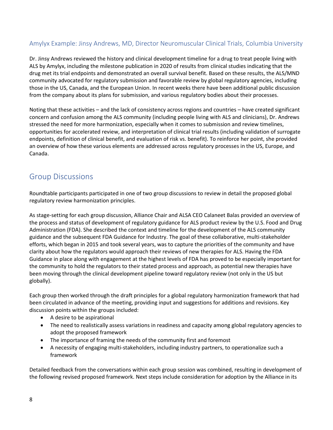#### <span id="page-7-0"></span>Amylyx Example: Jinsy Andrews, MD, Director Neuromuscular Clinical Trials, Columbia University

Dr. Jinsy Andrews reviewed the history and clinical development timeline for a drug to treat people living with ALS by Amylyx, including the milestone publication in 2020 of results from clinical studies indicating that the drug met its trial endpoints and demonstrated an overall survival benefit. Based on these results, the ALS/MND community advocated for regulatory submission and favorable review by global regulatory agencies, including those in the US, Canada, and the European Union. In recent weeks there have been additional public discussion from the company about its plans for submission, and various regulatory bodies about their processes.

Noting that these activities – and the lack of consistency across regions and countries – have created significant concern and confusion among the ALS community (including people living with ALS and clinicians), Dr. Andrews stressed the need for more harmonization, especially when it comes to submission and review timelines, opportunities for accelerated review, and interpretation of clinical trial results (including validation of surrogate endpoints, definition of clinical benefit, and evaluation of risk vs. benefit). To reinforce her point, she provided an overview of how these various elements are addressed across regulatory processes in the US, Europe, and Canada.

# <span id="page-7-1"></span>Group Discussions

Roundtable participants participated in one of two group discussions to review in detail the proposed global regulatory review harmonization principles.

As stage-setting for each group discussion, Alliance Chair and ALSA CEO Calaneet Balas provided an overview of the process and status of development of regulatory guidance for ALS product review by the U.S. Food and Drug Administration (FDA). She described the context and timeline for the development of the ALS community guidance and the subsequent FDA Guidance for Industry. The goal of these collaborative, multi-stakeholder efforts, which began in 2015 and took several years, was to capture the priorities of the community and have clarity about how the regulators would approach their reviews of new therapies for ALS. Having the FDA Guidance in place along with engagement at the highest levels of FDA has proved to be especially important for the community to hold the regulators to their stated process and approach, as potential new therapies have been moving through the clinical development pipeline toward regulatory review (not only in the US but globally).

Each group then worked through the draft principles for a global regulatory harmonization framework that had been circulated in advance of the meeting, providing input and suggestions for additions and revisions. Key discussion points within the groups included:

- A desire to be aspirational
- The need to realistically assess variations in readiness and capacity among global regulatory agencies to adopt the proposed framework
- The importance of framing the needs of the community first and foremost
- A necessity of engaging multi-stakeholders, including industry partners, to operationalize such a framework

Detailed feedback from the conversations within each group session was combined, resulting in development of the following revised proposed framework. Next steps include consideration for adoption by the Alliance in its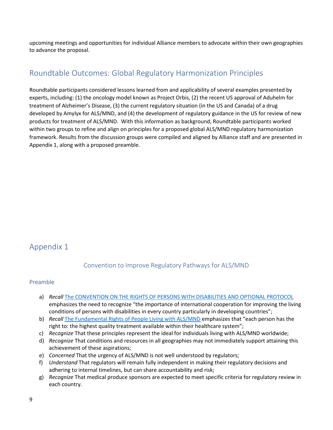upcoming meetings and opportunities for individual Alliance members to advocate within their own geographies to advance the proposal.

## <span id="page-8-0"></span>Roundtable Outcomes: Global Regulatory Harmonization Principles

Roundtable participants considered lessons learned from and applicability of several examples presented by experts, including: (1) the oncology model known as Project Orbis, (2) the recent US approval of Aduhelm for treatment of Alzheimer's Disease, (3) the current regulatory situation (in the US and Canada) of a drug developed by Amylyx for ALS/MND, and (4) the development of regulatory guidance in the US for review of new products for treatment of ALS/MND. With this information as background, Roundtable participants worked within two groups to refine and align on principles for a proposed global ALS/MND regulatory harmonization framework. Results from the discussion groups were compiled and aligned by Alliance staff and are presented in Appendix 1, along with a proposed preamble.

# <span id="page-8-2"></span><span id="page-8-1"></span>Appendix 1

#### Convention to Improve Regulatory Pathways for ALS/MND

#### <span id="page-8-3"></span>Preamble

- a) *Recall* [The CONVENTION ON THE RIGHTS OF PERSONS WITH DISABILITIES AND OPTIONAL PROTOCOL](https://www.un.org/disabilities/documents/convention/convoptprot-e.pdf) emphasizes the need to recognize "the importance of international cooperation for improving the living conditions of persons with disabilities in every country particularly in developing countries";
- b) *Recall* [The Fundamental Rights of People Living with ALS/MND](https://www.als-mnd.org/wp-content/uploads/2021/07/Fundamental-rights-for-people-living-with-ALS-MND-April-2021.pdf) emphasizes that "each person has the right to: the highest quality treatment available within their healthcare system";
- c) *Recognize* That these principles represent the ideal for individuals living with ALS/MND worldwide;
- d) *Recognize* That conditions and resources in all geographies may not immediately support attaining this achievement of these aspirations;
- e) *Concerned* That the urgency of ALS/MND is not well understood by regulators;
- f) *Understand* That regulators will remain fully independent in making their regulatory decisions and adhering to internal timelines, but can share accountability and risk;
- g) *Recognize* That medical produce sponsors are expected to meet specific criteria for regulatory review in each country.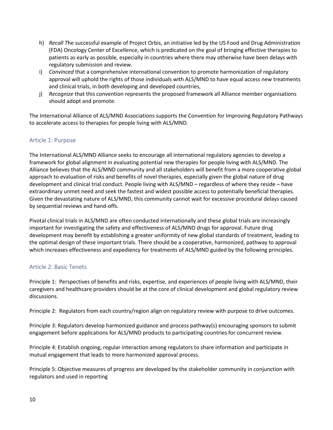- h) *Recall T*he successful example of Project Orbis, an initiative led by the US Food and Drug Administration (FDA) Oncology Center of Excellence, which is predicated on the goal of bringing effective therapies to patients as early as possible, especially in countries where there may otherwise have been delays with regulatory submission and review.
- i) *Convinced* that a comprehensive international convention to promote harmonization of regulatory approval will uphold the rights of those individuals with ALS/MND to have equal access new treatments and clinical trials, in both developing and developed countries,
- j) *Recognize* that this convention represents the proposed framework all Alliance member organisations should adopt and promote.

The International Alliance of ALS/MND Associations supports the Convention for Improving Regulatory Pathways to accelerate access to therapies for people living with ALS/MND.

#### <span id="page-9-0"></span>Article 1: Purpose

The International ALS/MND Alliance seeks to encourage all international regulatory agencies to develop a framework for global alignment in evaluating potential new therapies for people living with ALS/MND. The Alliance believes that the ALS/MND community and all stakeholders will benefit from a more cooperative global approach to evaluation of risks and benefits of novel therapies, especially given the global nature of drug development and clinical trial conduct. People living with ALS/MND – regardless of where they reside – have extraordinary unmet need and seek the fastest and widest possible access to potentially beneficial therapies. Given the devastating nature of ALS/MND, this community cannot wait for excessive procedural delays caused by sequential reviews and hand-offs.

Pivotal clinical trials in ALS/MND are often conducted internationally and these global trials are increasingly important for investigating the safety and effectiveness of ALS/MND drugs for approval. Future drug development may benefit by establishing a greater uniformity of new global standards of treatment, leading to the optimal design of these important trials. There should be a cooperative, harmonized, pathway to approval which increases effectiveness and expediency for treatments of ALS/MND guided by the following principles.

#### <span id="page-9-1"></span>Article 2: Basic Tenets

Principle 1: Perspectives of benefits and risks, expertise, and experiences of people living with ALS/MND, their caregivers and healthcare providers should be at the core of clinical development and global regulatory review discussions.

Principle 2: Regulators from each country/region align on regulatory review with purpose to drive outcomes.

Principle 3: Regulators develop harmonized guidance and process pathway(s) encouraging sponsors to submit engagement before applications for ALS/MND products to participating countries for concurrent review.

Principle 4: Establish ongoing, regular interaction among regulators to share information and participate in mutual engagement that leads to more harmonized approval process.

Principle 5: Objective measures of progress are developed by the stakeholder community in conjunction with regulators and used in reporting